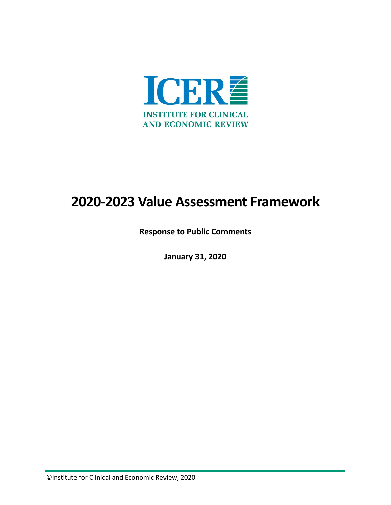

## **2020-2023 Value Assessment Framework**

**Response to Public Comments**

**January 31, 2020**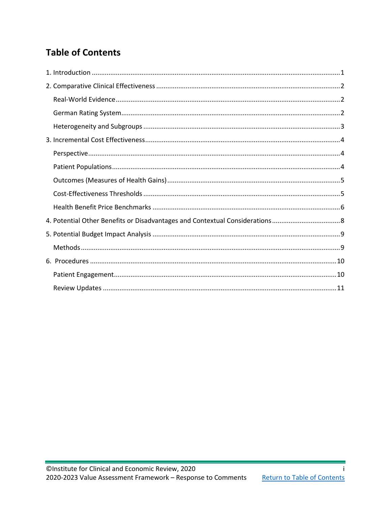## <span id="page-1-0"></span>**Table of Contents**

i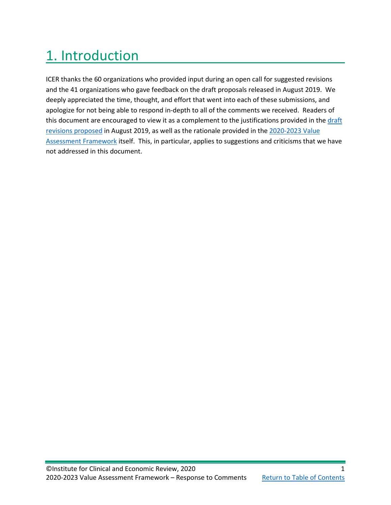## <span id="page-2-0"></span>1. Introduction

ICER thanks the 60 organizations who provided input during an open call for suggested revisions and the 41 organizations who gave feedback on the draft proposals released in August 2019. We deeply appreciated the time, thought, and effort that went into each of these submissions, and apologize for not being able to respond in-depth to all of the comments we received. Readers of this document are encouraged to view it as a complement to the justifications provided in the draft [revisions proposed](https://icer-review.org/material/2020-value-assessment-framework-proposed-changes/) in August 2019, as well as the rationale provided in the [2020-2023 Value](https://icer-review.org/methodology/icers-methods/icer-value-assessment-framework-2/)  [Assessment Framework](https://icer-review.org/methodology/icers-methods/icer-value-assessment-framework-2/) itself. This, in particular, applies to suggestions and criticisms that we have not addressed in this document.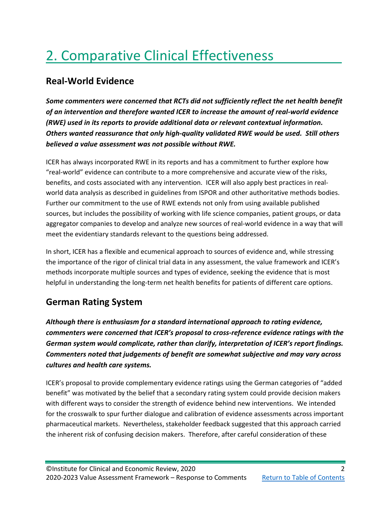# <span id="page-3-0"></span>2. Comparative Clinical Effectiveness

#### <span id="page-3-1"></span>**Real-World Evidence**

*Some commenters were concerned that RCTs did not sufficiently reflect the net health benefit of an intervention and therefore wanted ICER to increase the amount of real-world evidence (RWE) used in its reports to provide additional data or relevant contextual information. Others wanted reassurance that only high-quality validated RWE would be used. Still others believed a value assessment was not possible without RWE.*

ICER has always incorporated RWE in its reports and has a commitment to further explore how "real-world" evidence can contribute to a more comprehensive and accurate view of the risks, benefits, and costs associated with any intervention. ICER will also apply best practices in realworld data analysis as described in guidelines from ISPOR and other authoritative methods bodies. Further our commitment to the use of RWE extends not only from using available published sources, but includes the possibility of working with life science companies, patient groups, or data aggregator companies to develop and analyze new sources of real-world evidence in a way that will meet the evidentiary standards relevant to the questions being addressed.

In short, ICER has a flexible and ecumenical approach to sources of evidence and, while stressing the importance of the rigor of clinical trial data in any assessment, the value framework and ICER's methods incorporate multiple sources and types of evidence, seeking the evidence that is most helpful in understanding the long-term net health benefits for patients of different care options.

### <span id="page-3-2"></span>**German Rating System**

*Although there is enthusiasm for a standard international approach to rating evidence, commenters were concerned that ICER's proposal to cross-reference evidence ratings with the German system would complicate, rather than clarify, interpretation of ICER's report findings. Commenters noted that judgements of benefit are somewhat subjective and may vary across cultures and health care systems.* 

ICER's proposal to provide complementary evidence ratings using the German categories of "added benefit" was motivated by the belief that a secondary rating system could provide decision makers with different ways to consider the strength of evidence behind new interventions. We intended for the crosswalk to spur further dialogue and calibration of evidence assessments across important pharmaceutical markets. Nevertheless, stakeholder feedback suggested that this approach carried the inherent risk of confusing decision makers. Therefore, after careful consideration of these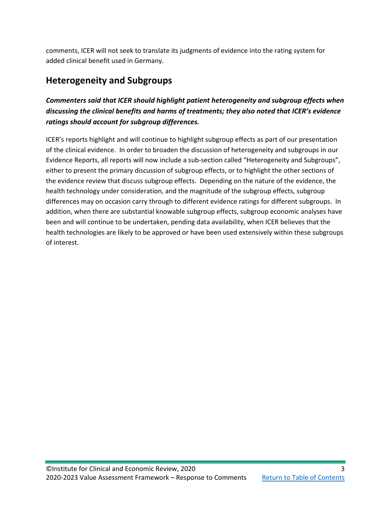comments, ICER will not seek to translate its judgments of evidence into the rating system for added clinical benefit used in Germany.

### <span id="page-4-0"></span>**Heterogeneity and Subgroups**

#### *Commenters said that ICER should highlight patient heterogeneity and subgroup effects when discussing the clinical benefits and harms of treatments; they also noted that ICER's evidence ratings should account for subgroup differences.*

ICER's reports highlight and will continue to highlight subgroup effects as part of our presentation of the clinical evidence. In order to broaden the discussion of heterogeneity and subgroups in our Evidence Reports, all reports will now include a sub-section called "Heterogeneity and Subgroups", either to present the primary discussion of subgroup effects, or to highlight the other sections of the evidence review that discuss subgroup effects. Depending on the nature of the evidence, the health technology under consideration, and the magnitude of the subgroup effects, subgroup differences may on occasion carry through to different evidence ratings for different subgroups. In addition, when there are substantial knowable subgroup effects, subgroup economic analyses have been and will continue to be undertaken, pending data availability, when ICER believes that the health technologies are likely to be approved or have been used extensively within these subgroups of interest.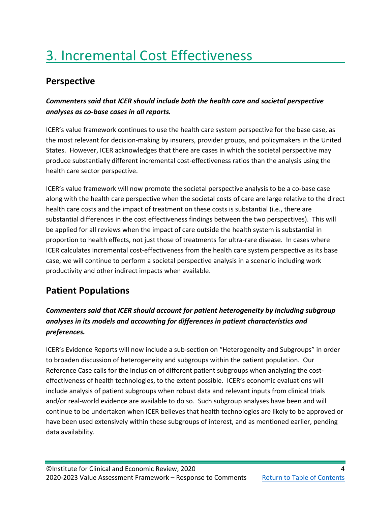## <span id="page-5-0"></span>3. Incremental Cost Effectiveness

#### <span id="page-5-1"></span>**Perspective**

#### *Commenters said that ICER should include both the health care and societal perspective analyses as co-base cases in all reports.*

ICER's value framework continues to use the health care system perspective for the base case, as the most relevant for decision-making by insurers, provider groups, and policymakers in the United States. However, ICER acknowledges that there are cases in which the societal perspective may produce substantially different incremental cost-effectiveness ratios than the analysis using the health care sector perspective.

ICER's value framework will now promote the societal perspective analysis to be a co-base case along with the health care perspective when the societal costs of care are large relative to the direct health care costs and the impact of treatment on these costs is substantial (i.e., there are substantial differences in the cost effectiveness findings between the two perspectives). This will be applied for all reviews when the impact of care outside the health system is substantial in proportion to health effects, not just those of treatments for ultra-rare disease. In cases where ICER calculates incremental cost-effectiveness from the health care system perspective as its base case, we will continue to perform a societal perspective analysis in a scenario including work productivity and other indirect impacts when available.

### <span id="page-5-2"></span>**Patient Populations**

#### *Commenters said that ICER should account for patient heterogeneity by including subgroup analyses in its models and accounting for differences in patient characteristics and preferences.*

ICER's Evidence Reports will now include a sub-section on "Heterogeneity and Subgroups" in order to broaden discussion of heterogeneity and subgroups within the patient population. Our Reference Case calls for the inclusion of different patient subgroups when analyzing the costeffectiveness of health technologies, to the extent possible. ICER's economic evaluations will include analysis of patient subgroups when robust data and relevant inputs from clinical trials and/or real-world evidence are available to do so. Such subgroup analyses have been and will continue to be undertaken when ICER believes that health technologies are likely to be approved or have been used extensively within these subgroups of interest, and as mentioned earlier, pending data availability.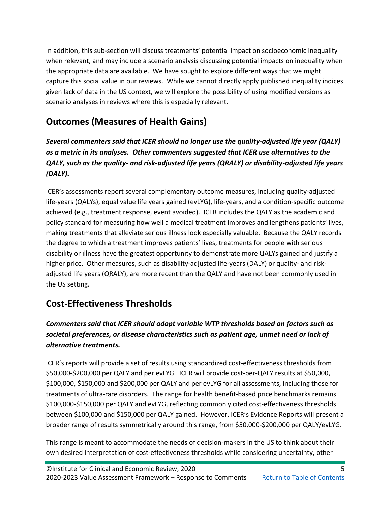In addition, this sub-section will discuss treatments' potential impact on socioeconomic inequality when relevant, and may include a scenario analysis discussing potential impacts on inequality when the appropriate data are available. We have sought to explore different ways that we might capture this social value in our reviews. While we cannot directly apply published inequality indices given lack of data in the US context, we will explore the possibility of using modified versions as scenario analyses in reviews where this is especially relevant.

### <span id="page-6-0"></span>**Outcomes (Measures of Health Gains)**

*Several commenters said that ICER should no longer use the quality-adjusted life year (QALY) as a metric in its analyses. Other commenters suggested that ICER use alternatives to the QALY, such as the quality- and risk-adjusted life years (QRALY) or disability-adjusted life years (DALY).*

ICER's assessments report several complementary outcome measures, including quality-adjusted life-years (QALYs), equal value life years gained (evLYG), life-years, and a condition-specific outcome achieved (e.g., treatment response, event avoided). ICER includes the QALY as the academic and policy standard for measuring how well a medical treatment improves and lengthens patients' lives, making treatments that alleviate serious illness look especially valuable. Because the QALY records the degree to which a treatment improves patients' lives, treatments for people with serious disability or illness have the greatest opportunity to demonstrate more QALYs gained and justify a higher price. Other measures, such as disability-adjusted life-years (DALY) or quality- and riskadjusted life years (QRALY), are more recent than the QALY and have not been commonly used in the US setting.

### <span id="page-6-1"></span>**Cost-Effectiveness Thresholds**

#### *Commenters said that ICER should adopt variable WTP thresholds based on factors such as societal preferences, or disease characteristics such as patient age, unmet need or lack of alternative treatments.*

ICER's reports will provide a set of results using standardized cost-effectiveness thresholds from \$50,000-\$200,000 per QALY and per evLYG. ICER will provide cost-per-QALY results at \$50,000, \$100,000, \$150,000 and \$200,000 per QALY and per evLYG for all assessments, including those for treatments of ultra-rare disorders. The range for health benefit-based price benchmarks remains \$100,000-\$150,000 per QALY and evLYG, reflecting commonly cited cost-effectiveness thresholds between \$100,000 and \$150,000 per QALY gained. However, ICER's Evidence Reports will present a broader range of results symmetrically around this range, from \$50,000-\$200,000 per QALY/evLYG.

This range is meant to accommodate the needs of decision-makers in the US to think about their own desired interpretation of cost-effectiveness thresholds while considering uncertainty, other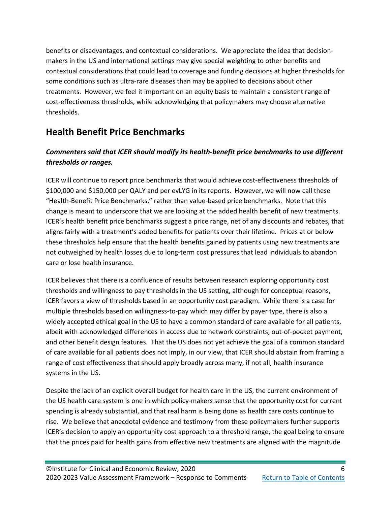benefits or disadvantages, and contextual considerations. We appreciate the idea that decisionmakers in the US and international settings may give special weighting to other benefits and contextual considerations that could lead to coverage and funding decisions at higher thresholds for some conditions such as ultra-rare diseases than may be applied to decisions about other treatments. However, we feel it important on an equity basis to maintain a consistent range of cost-effectiveness thresholds, while acknowledging that policymakers may choose alternative thresholds.

#### <span id="page-7-0"></span>**Health Benefit Price Benchmarks**

#### *Commenters said that ICER should modify its health-benefit price benchmarks to use different thresholds or ranges.*

ICER will continue to report price benchmarks that would achieve cost-effectiveness thresholds of \$100,000 and \$150,000 per QALY and per evLYG in its reports. However, we will now call these "Health-Benefit Price Benchmarks," rather than value-based price benchmarks. Note that this change is meant to underscore that we are looking at the added health benefit of new treatments. ICER's health benefit price benchmarks suggest a price range, net of any discounts and rebates, that aligns fairly with a treatment's added benefits for patients over their lifetime. Prices at or below these thresholds help ensure that the health benefits gained by patients using new treatments are not outweighed by health losses due to long-term cost pressures that lead individuals to abandon care or lose health insurance.

ICER believes that there is a confluence of results between research exploring opportunity cost thresholds and willingness to pay thresholds in the US setting, although for conceptual reasons, ICER favors a view of thresholds based in an opportunity cost paradigm. While there is a case for multiple thresholds based on willingness-to-pay which may differ by payer type, there is also a widely accepted ethical goal in the US to have a common standard of care available for all patients, albeit with acknowledged differences in access due to network constraints, out-of-pocket payment, and other benefit design features. That the US does not yet achieve the goal of a common standard of care available for all patients does not imply, in our view, that ICER should abstain from framing a range of cost effectiveness that should apply broadly across many, if not all, health insurance systems in the US.

Despite the lack of an explicit overall budget for health care in the US, the current environment of the US health care system is one in which policy-makers sense that the opportunity cost for current spending is already substantial, and that real harm is being done as health care costs continue to rise. We believe that anecdotal evidence and testimony from these policymakers further supports ICER's decision to apply an opportunity cost approach to a threshold range, the goal being to ensure that the prices paid for health gains from effective new treatments are aligned with the magnitude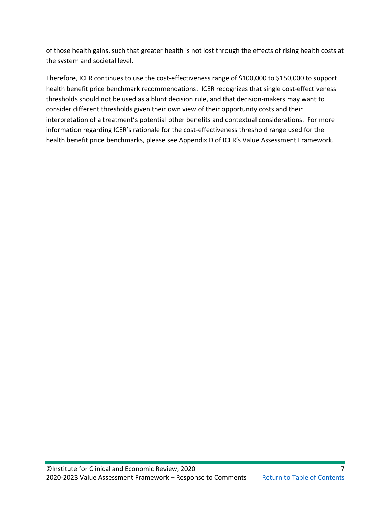of those health gains, such that greater health is not lost through the effects of rising health costs at the system and societal level.

Therefore, ICER continues to use the cost-effectiveness range of \$100,000 to \$150,000 to support health benefit price benchmark recommendations. ICER recognizes that single cost-effectiveness thresholds should not be used as a blunt decision rule, and that decision-makers may want to consider different thresholds given their own view of their opportunity costs and their interpretation of a treatment's potential other benefits and contextual considerations. For more information regarding ICER's rationale for the cost-effectiveness threshold range used for the health benefit price benchmarks, please see Appendix D of ICER's Value Assessment Framework.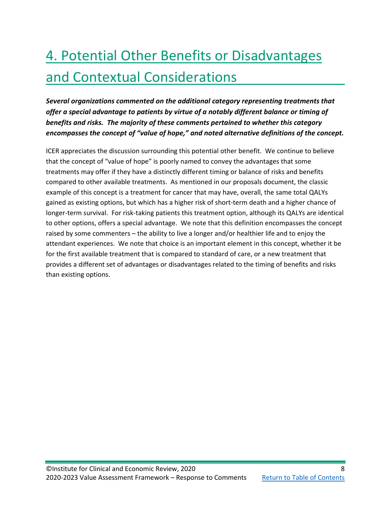# <span id="page-9-0"></span>4. Potential Other Benefits or Disadvantages and Contextual Considerations

*Several organizations commented on the additional category representing treatments that offer a special advantage to patients by virtue of a notably different balance or timing of benefits and risks. The majority of these comments pertained to whether this category encompasses the concept of "value of hope," and noted alternative definitions of the concept.*

ICER appreciates the discussion surrounding this potential other benefit. We continue to believe that the concept of "value of hope" is poorly named to convey the advantages that some treatments may offer if they have a distinctly different timing or balance of risks and benefits compared to other available treatments. As mentioned in our proposals document, the classic example of this concept is a treatment for cancer that may have, overall, the same total QALYs gained as existing options, but which has a higher risk of short-term death and a higher chance of longer-term survival. For risk-taking patients this treatment option, although its QALYs are identical to other options, offers a special advantage. We note that this definition encompasses the concept raised by some commenters – the ability to live a longer and/or healthier life and to enjoy the attendant experiences. We note that choice is an important element in this concept, whether it be for the first available treatment that is compared to standard of care, or a new treatment that provides a different set of advantages or disadvantages related to the timing of benefits and risks than existing options.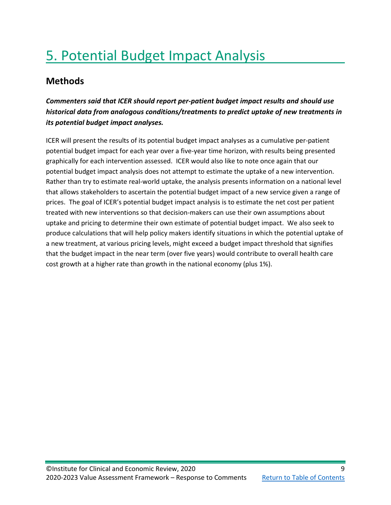## <span id="page-10-0"></span>5. Potential Budget Impact Analysis

#### <span id="page-10-1"></span>**Methods**

#### *Commenters said that ICER should report per-patient budget impact results and should use historical data from analogous conditions/treatments to predict uptake of new treatments in its potential budget impact analyses.*

ICER will present the results of its potential budget impact analyses as a cumulative per-patient potential budget impact for each year over a five-year time horizon, with results being presented graphically for each intervention assessed. ICER would also like to note once again that our potential budget impact analysis does not attempt to estimate the uptake of a new intervention. Rather than try to estimate real-world uptake, the analysis presents information on a national level that allows stakeholders to ascertain the potential budget impact of a new service given a range of prices. The goal of ICER's potential budget impact analysis is to estimate the net cost per patient treated with new interventions so that decision-makers can use their own assumptions about uptake and pricing to determine their own estimate of potential budget impact. We also seek to produce calculations that will help policy makers identify situations in which the potential uptake of a new treatment, at various pricing levels, might exceed a budget impact threshold that signifies that the budget impact in the near term (over five years) would contribute to overall health care cost growth at a higher rate than growth in the national economy (plus 1%).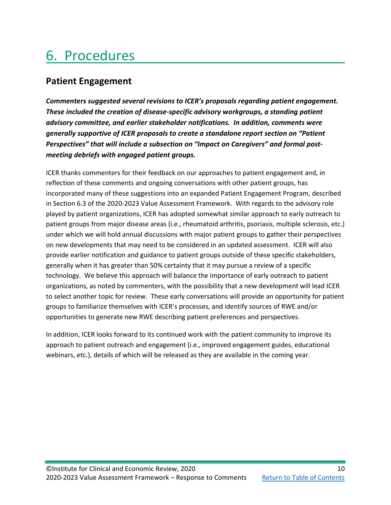## <span id="page-11-0"></span>6. Procedures

#### <span id="page-11-1"></span>**Patient Engagement**

*Commenters suggested several revisions to ICER's proposals regarding patient engagement. These included the creation of disease-specific advisory workgroups, a standing patient advisory committee, and earlier stakeholder notifications. In addition, comments were generally supportive of ICER proposals to create a standalone report section on "Patient Perspectives" that will include a subsection on "Impact on Caregivers" and formal postmeeting debriefs with engaged patient groups.*

ICER thanks commenters for their feedback on our approaches to patient engagement and, in reflection of these comments and ongoing conversations with other patient groups, has incorporated many of these suggestions into an expanded Patient Engagement Program, described in Section 6.3 of the 2020-2023 Value Assessment Framework. With regards to the advisory role played by patient organizations, ICER has adopted somewhat similar approach to early outreach to patient groups from major disease areas (i.e., rheumatoid arthritis, psoriasis, multiple sclerosis, etc.) under which we will hold annual discussions with major patient groups to gather their perspectives on new developments that may need to be considered in an updated assessment. ICER will also provide earlier notification and guidance to patient groups outside of these specific stakeholders, generally when it has greater than 50% certainty that it may pursue a review of a specific technology. We believe this approach will balance the importance of early outreach to patient organizations, as noted by commenters, with the possibility that a new development will lead ICER to select another topic for review. These early conversations will provide an opportunity for patient groups to familiarize themselves with ICER's processes, and identify sources of RWE and/or opportunities to generate new RWE describing patient preferences and perspectives.

In addition, ICER looks forward to its continued work with the patient community to improve its approach to patient outreach and engagement (i.e., improved engagement guides, educational webinars, etc.), details of which will be released as they are available in the coming year.